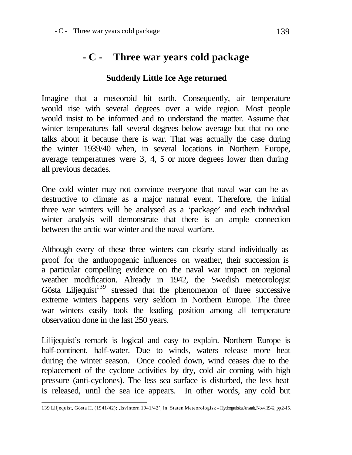## **- C - Three war years cold package**

## **Suddenly Little Ice Age returned**

Imagine that a meteoroid hit earth. Consequently, air temperature would rise with several degrees over a wide region. Most people would insist to be informed and to understand the matter. Assume that winter temperatures fall several degrees below average but that no one talks about it because there is war. That was actually the case during the winter 1939/40 when, in several locations in Northern Europe, average temperatures were 3, 4, 5 or more degrees lower then during all previous decades.

One cold winter may not convince everyone that naval war can be as destructive to climate as a major natural event. Therefore, the initial three war winters will be analysed as a 'package' and each individual winter analysis will demonstrate that there is an ample connection between the arctic war winter and the naval warfare.

Although every of these three winters can clearly stand individually as proof for the anthropogenic influences on weather, their succession is a particular compelling evidence on the naval war impact on regional weather modification. Already in 1942, the Swedish meteorologist Gösta Liljequist $139$  stressed that the phenomenon of three successive extreme winters happens very seldom in Northern Europe. The three war winters easily took the leading position among all temperature observation done in the last 250 years.

Lilijequist's remark is logical and easy to explain. Northern Europe is half-continent, half-water. Due to winds, waters release more heat during the winter season. Once cooled down, wind ceases due to the replacement of the cyclone activities by dry, cold air coming with high pressure (anti-cyclones). The less sea surface is disturbed, the less heat is released, until the sea ice appears. In other words, any cold but

 139 Liljequist, Gösta H. (1941/42); 'Isvintern 1941/42'; in: Staten Meteorologisk – Hydrograiska Anstalt, No.4, 1942, pp.2-15.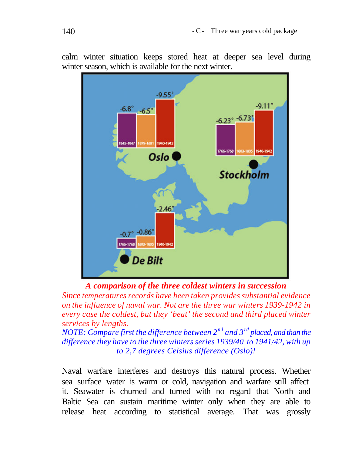$-9.55$  $-9.11$  $-6.8^\circ$  $-6.5'$  $-6.23^{\circ} -6.73$ 845-1847 1766-1768 1940-194 Oslo **Stockholm** 2.46  $-0.7^{\circ}$  -0.86° 1766-1768 De Bilt

calm winter situation keeps stored heat at deeper sea level during winter season, which is available for the next winter.

*A comparison of the three coldest winters in succession*

*Since temperatures records have been taken provides substantial evidence on the influence of naval war. Not are the three war winters 1939-1942 in every case the coldest, but they 'beat' the second and third placed winter services by lengths.* 

*NOTE: Compare first the difference between 2nd and 3rd placed, and than the difference they have to the three winters series 1939/40 to 1941/42, with up to 2,7 degrees Celsius difference (Oslo)!*

Naval warfare interferes and destroys this natural process. Whether sea surface water is warm or cold, navigation and warfare still affect it. Seawater is churned and turned with no regard that North and Baltic Sea can sustain maritime winter only when they are able to release heat according to statistical average. That was grossly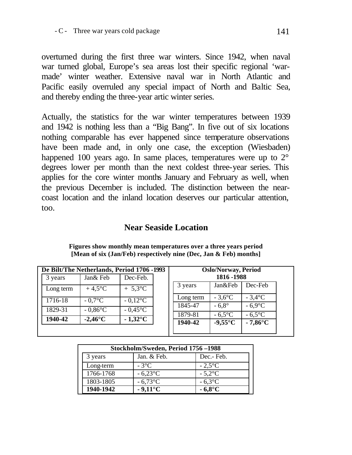overturned during the first three war winters. Since 1942, when naval war turned global, Europe's sea areas lost their specific regional 'warmade' winter weather. Extensive naval war in North Atlantic and Pacific easily overruled any special impact of North and Baltic Sea, and thereby ending the three-year artic winter series.

Actually, the statistics for the war winter temperatures between 1939 and 1942 is nothing less than a "Big Bang". In five out of six locations nothing comparable has ever happened since temperature observations have been made and, in only one case, the exception (Wiesbaden) happened 100 years ago. In same places, temperatures were up to  $2^{\circ}$ degrees lower per month than the next coldest three-year series. This applies for the core winter months January and February as well, when the previous December is included. The distinction between the nearcoast location and the inland location deserves our particular attention, too.

## **Near Seaside Location**

**Figures show monthly mean temperatures over a three years period [Mean of six (Jan/Feb) respectively nine (Dec, Jan & Feb) months]**

|           |                   | De Bilt/The Netherlands, Period 1706 -1993 |           | <b>Oslo/Norway, Period</b> |                   |
|-----------|-------------------|--------------------------------------------|-----------|----------------------------|-------------------|
| 3 years   | Jan& Feb          | Dec-Feb.                                   |           | 1816 - 1988                |                   |
| Long term | $+4.5^{\circ}C$   | $+ 5.3$ °C                                 | 3 years   | Jan&Feb                    | Dec-Feb           |
| 1716-18   | $-0.7$ °C         | $-0.12$ °C                                 | Long term | $-3.6$ °C                  | $-3.4$ °C         |
| 1829-31   | $-0.86^{\circ}$ C | $-0.45^{\circ}$ C                          | 1845-47   | $-6.8^\circ$               | $-6.9$ °C         |
| 1940-42   | $-2.46^{\circ}$ C | $-1,32$ °C                                 | 1879-81   | $-6.5^{\circ}$ C           | $-6.5^{\circ}$ C  |
|           |                   |                                            | 1940-42   | $-9,55^{\circ}$ C          | $-7,86^{\circ}$ C |
|           |                   |                                            |           |                            |                   |

|           | Stockholm/Sweden, Period 1756-1988 |                  |
|-----------|------------------------------------|------------------|
| 3 years   | Jan. & Feb.                        | Dec.- Feb.       |
| Long-term | $-3^{\circ}$ C                     | $-2.5^{\circ}$ C |
| 1766-1768 | $-6,23\degree$ C                   | $-5.2$ °C        |
| 1803-1805 | $-6.73$ °C                         | $-6.3$ °C        |
| 1940-1942 | $-9.11^{\circ}$ C                  | $-6.8^{\circ}$ C |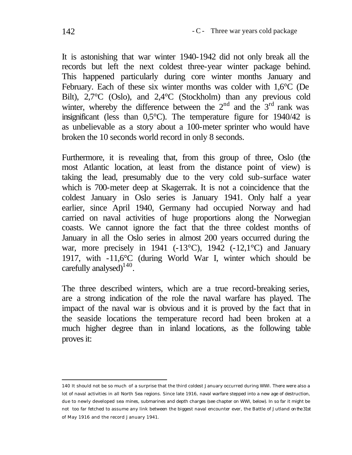It is astonishing that war winter 1940-1942 did not only break all the records but left the next coldest three-year winter package behind. This happened particularly during core winter months January and February. Each of these six winter months was colder with 1,6°C (De Bilt), 2,7°C (Oslo), and 2,4°C (Stockholm) than any previous cold winter, whereby the difference between the  $2<sup>nd</sup>$  and the  $3<sup>rd</sup>$  rank was insignificant (less than 0,5°C). The temperature figure for 1940/42 is as unbelievable as a story about a 100-meter sprinter who would have broken the 10 seconds world record in only 8 seconds.

Furthermore, it is revealing that, from this group of three, Oslo (the most Atlantic location, at least from the distance point of view) is taking the lead, presumably due to the very cold sub-surface water which is 700-meter deep at Skagerrak. It is not a coincidence that the coldest January in Oslo series is January 1941. Only half a year earlier, since April 1940, Germany had occupied Norway and had carried on naval activities of huge proportions along the Norwegian coasts. We cannot ignore the fact that the three coldest months of January in all the Oslo series in almost 200 years occurred during the war, more precisely in 1941 ( $-13^{\circ}$ C), 1942 ( $-12,1^{\circ}$ C) and January 1917, with -11,6°C (during World War I, winter which should be carefully analysed) $140$ .

The three described winters, which are a true record-breaking series, are a strong indication of the role the naval warfare has played. The impact of the naval war is obvious and it is proved by the fact that in the seaside locations the temperature record had been broken at a much higher degree than in inland locations, as the following table proves it:

l 140 It should not be so much of a surprise that the third coldest January occurred during WWI. There were also a lot of naval activities in all North Sea regions. Since late 1916, naval warfare stepped into a new age of destruction, due to newly developed sea mines, submarines and depth charges (see chapter on WWI, below). In so far it might be not too far fetched to assume any link between the biggest naval encounter ever, the Battle of Jutland on the 31st of May 1916 and the record January 1941.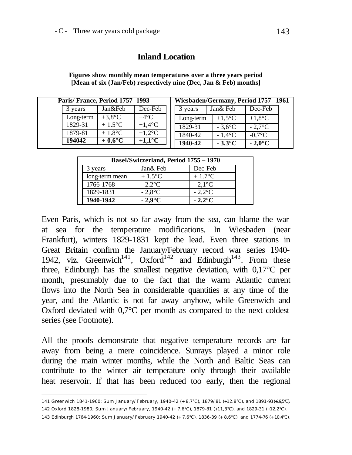## **Inland Location**

|           | Paris/France, Period 1757 -1993 |                   |           |           | Wiesbaden/Germany, Period 1757-1961 |  |  |
|-----------|---------------------------------|-------------------|-----------|-----------|-------------------------------------|--|--|
| 3 years   | Jan&Feb                         | Dec-Feb           | 3 years   | Jan& Feb  | Dec-Feb                             |  |  |
| Long-term | $+3.8$ °C                       | $+4^{\circ}C$     | Long-term | $+1.5$ °C | $+1,8$ °C                           |  |  |
| 1829-31   | $+1.5$ °C                       | $+1.4$ °C         | 1829-31   | $-3.6$ °C | $-2.7$ °C                           |  |  |
| 1879-81   | $+1.8$ °C                       | $+1.2$ °C         | 1840-42   | $-1.4$ °C | $-0.7$ °C                           |  |  |
| 194042    | $+0.6^{\circ}C$                 | +1,1 $^{\circ}$ C | 1940-42   | $-3.3$ °C | $-2.0\degree$ C                     |  |  |

**Figures show monthly mean temperatures over a three years period [Mean of six (Jan/Feb) respectively nine (Dec, Jan & Feb) months]**

| Basel/Switzerland, Period 1755 – 1970 |                  |                  |  |  |
|---------------------------------------|------------------|------------------|--|--|
| vears                                 | Jan& Feb         | Dec-Feb          |  |  |
| long-term mean                        | $+1.5$ °C        | $+1.7^{\circ}$ C |  |  |
| 1766-1768                             | $-2.2$ °C        | $-2.1\degree$ C  |  |  |
| 1829-1831                             | $-2.8$ °C        | $-2.2$ °C        |  |  |
| 1940-1942                             | $-2.9^{\circ}$ C | $-2.2^{\circ}$ C |  |  |

Even Paris, which is not so far away from the sea, can blame the war at sea for the temperature modifications. In Wiesbaden (near Frankfurt), winters 1829-1831 kept the lead. Even three stations in Great Britain confirm the January/February record war series 1940- 1942, viz. Greenwich<sup>141</sup>,  $Oxford<sup>142</sup>$  and Edinburgh<sup>143</sup>. From these three, Edinburgh has the smallest negative deviation, with 0,17°C per month, presumably due to the fact that the warm Atlantic current flows into the North Sea in considerable quantities at any time of the year, and the Atlantic is not far away anyhow, while Greenwich and Oxford deviated with 0,7°C per month as compared to the next coldest series (see Footnote).

All the proofs demonstrate that negative temperature records are far away from being a mere coincidence. Sunrays played a minor role during the main winter months, while the North and Baltic Seas can contribute to the winter air temperature only through their available heat reservoir. If that has been reduced too early, then the regional

l 141 Greenwich 1841-1960; Sum January/February, 1940-42 (+ 8,7°C), 1879/81 (+12.8°C), and 1891-93 (+19,5°C).

<sup>142</sup> Oxford 1828-1980; Sum January/February, 1940-42 (+ 7,6°C), 1879-81 (+11,8°C), and 1829-31 (+12,2°C).

<sup>143</sup> Edinburgh 1764-1960; Sum January/February 1940-42 (+ 7,6°C), 1836-39 (+ 8,6°C), and 1774-76 (+ 10,4°C).